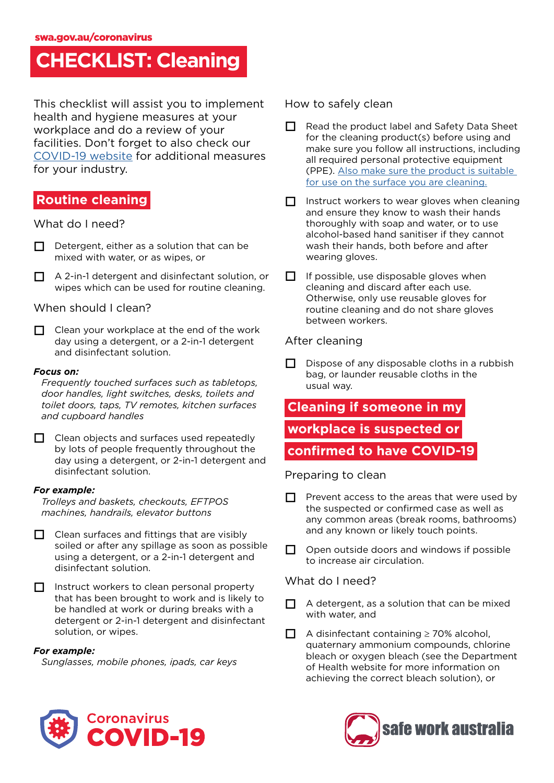# **CHECKLIST: Cleaning**

This checklist will assist you to implement health and hygiene measures at your workplace and do a review of your facilities. Don't forget to also check our [COVID-19 website](https://www.safeworkaustralia.gov.au/covid-19-information-workplaces/industry-information/general-industry-information/cleaning) for additional measures for your industry.

## **Routine cleaning**

### What do I need?

- $\Box$  Detergent, either as a solution that can be mixed with water, or as wipes, or
- $\Box$  A 2-in-1 detergent and disinfectant solution, or wipes which can be used for routine cleaning.

### When should I clean?

 $\Box$  Clean your workplace at the end of the work day using a detergent, or a 2-in-1 detergent and disinfectant solution.

#### *Focus on:*

*Frequently touched surfaces such as tabletops, door handles, light switches, desks, toilets and toilet doors, taps, TV remotes, kitchen surfaces and cupboard handles*

 $\Box$  Clean objects and surfaces used repeatedly by lots of people frequently throughout the day using a detergent, or 2-in-1 detergent and disinfectant solution.

### *For example:*

*Trolleys and baskets, checkouts, EFTPOS machines, handrails, elevator buttons*

- $\Box$  Clean surfaces and fittings that are visibly soiled or after any spillage as soon as possible using a detergent, or a 2-in-1 detergent and disinfectant solution.
- $\Box$  Instruct workers to clean personal property that has been brought to work and is likely to be handled at work or during breaks with a detergent or 2-in-1 detergent and disinfectant solution, or wipes.

### *For example:*

*Sunglasses, mobile phones, ipads, car keys*

### How to safely clean

- $\Box$  Read the product label and Safety Data Sheet for the cleaning product(s) before using and make sure you follow all instructions, including all required personal protective equipment (PPE). [Also make sure the product is suitable](https://www.safeworkaustralia.gov.au/doc/how-clean-and-disinfect-your-workplace-covid-19)  [for use on the surface you are cleaning.](https://www.safeworkaustralia.gov.au/doc/how-clean-and-disinfect-your-workplace-covid-19)
- $\Pi$  Instruct workers to wear gloves when cleaning and ensure they know to wash their hands thoroughly with soap and water, or to use alcohol-based hand sanitiser if they cannot wash their hands, both before and after wearing gloves.
- $\Box$  If possible, use disposable gloves when cleaning and discard after each use. Otherwise, only use reusable gloves for routine cleaning and do not share gloves between workers.

### After cleaning

 $\Box$  Dispose of any disposable cloths in a rubbish bag, or launder reusable cloths in the usual way.

# **Cleaning if someone in my workplace is suspected or**

### **confirmed to have COVID-19**

### Preparing to clean

- $\Box$  Prevent access to the areas that were used by the suspected or confirmed case as well as any common areas (break rooms, bathrooms) and any known or likely touch points.
- $\Box$  Open outside doors and windows if possible to increase air circulation.

### What do I need?

- $\Box$  A detergent, as a solution that can be mixed with water, and
- $\Box$  A disinfectant containing ≥ 70% alcohol, quaternary ammonium compounds, chlorine bleach or oxygen bleach (see the Department of Health website for more information on achieving the correct bleach solution), or